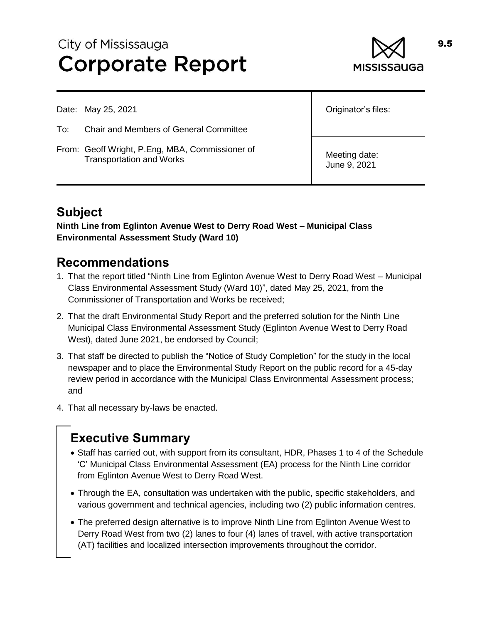# City of Mississauga **Corporate Report**



Date: May 25, 2021

- To: Chair and Members of General Committee
- From: Geoff Wright, P.Eng, MBA, Commissioner of Transportation and Works

Originator's files:

Meeting date: June 9, 2021

## **Subject**

**Ninth Line from Eglinton Avenue West to Derry Road West – Municipal Class Environmental Assessment Study (Ward 10)**

## **Recommendations**

- 1. That the report titled "Ninth Line from Eglinton Avenue West to Derry Road West Municipal Class Environmental Assessment Study (Ward 10)", dated May 25, 2021, from the Commissioner of Transportation and Works be received;
- 2. That the draft Environmental Study Report and the preferred solution for the Ninth Line Municipal Class Environmental Assessment Study (Eglinton Avenue West to Derry Road West), dated June 2021, be endorsed by Council;
- 3. That staff be directed to publish the "Notice of Study Completion" for the study in the local newspaper and to place the Environmental Study Report on the public record for a 45-day review period in accordance with the Municipal Class Environmental Assessment process; and
- 4. That all necessary by-laws be enacted.

## **Executive Summary**

- Staff has carried out, with support from its consultant, HDR, Phases 1 to 4 of the Schedule 'C' Municipal Class Environmental Assessment (EA) process for the Ninth Line corridor from Eglinton Avenue West to Derry Road West.
- Through the EA, consultation was undertaken with the public, specific stakeholders, and various government and technical agencies, including two (2) public information centres.
- The preferred design alternative is to improve Ninth Line from Eglinton Avenue West to Derry Road West from two (2) lanes to four (4) lanes of travel, with active transportation (AT) facilities and localized intersection improvements throughout the corridor.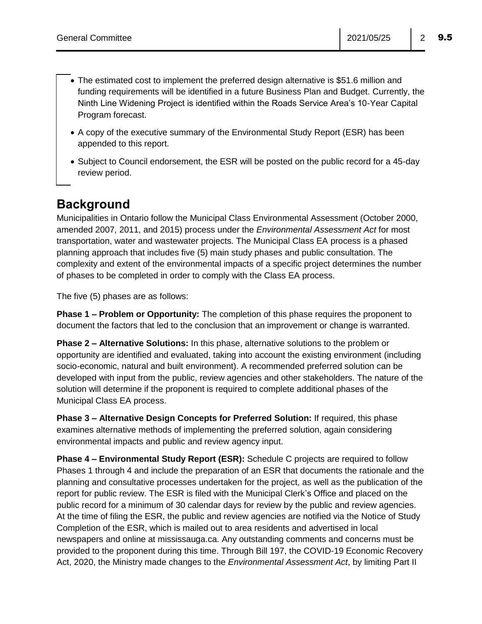- The estimated cost to implement the preferred design alternative is \$51.6 million and funding requirements will be identified in a future Business Plan and Budget. Currently, the Ninth Line Widening Project is identified within the Roads Service Area's 10-Year Capital Program forecast.
- A copy of the executive summary of the Environmental Study Report (ESR) has been appended to this report.
- Subject to Council endorsement, the ESR will be posted on the public record for a 45-day review period.

## **Background**

Municipalities in Ontario follow the Municipal Class Environmental Assessment (October 2000, amended 2007, 2011, and 2015) process under the *Environmental Assessment Act* for most transportation, water and wastewater projects. The Municipal Class EA process is a phased planning approach that includes five (5) main study phases and public consultation. The complexity and extent of the environmental impacts of a specific project determines the number of phases to be completed in order to comply with the Class EA process.

The five (5) phases are as follows:

**Phase 1 – Problem or Opportunity:** The completion of this phase requires the proponent to document the factors that led to the conclusion that an improvement or change is warranted.

**Phase 2 – Alternative Solutions:** In this phase, alternative solutions to the problem or opportunity are identified and evaluated, taking into account the existing environment (including socio-economic, natural and built environment). A recommended preferred solution can be developed with input from the public, review agencies and other stakeholders. The nature of the solution will determine if the proponent is required to complete additional phases of the Municipal Class EA process.

**Phase 3 – Alternative Design Concepts for Preferred Solution:** If required, this phase examines alternative methods of implementing the preferred solution, again considering environmental impacts and public and review agency input.

**Phase 4 – Environmental Study Report (ESR):** Schedule C projects are required to follow Phases 1 through 4 and include the preparation of an ESR that documents the rationale and the planning and consultative processes undertaken for the project, as well as the publication of the report for public review. The ESR is filed with the Municipal Clerk's Office and placed on the public record for a minimum of 30 calendar days for review by the public and review agencies. At the time of filing the ESR, the public and review agencies are notified via the Notice of Study Completion of the ESR, which is mailed out to area residents and advertised in local newspapers and online at mississauga.ca. Any outstanding comments and concerns must be provided to the proponent during this time. Through Bill 197, the COVID-19 Economic Recovery Act, 2020, the Ministry made changes to the *Environmental Assessment Act*, by limiting Part II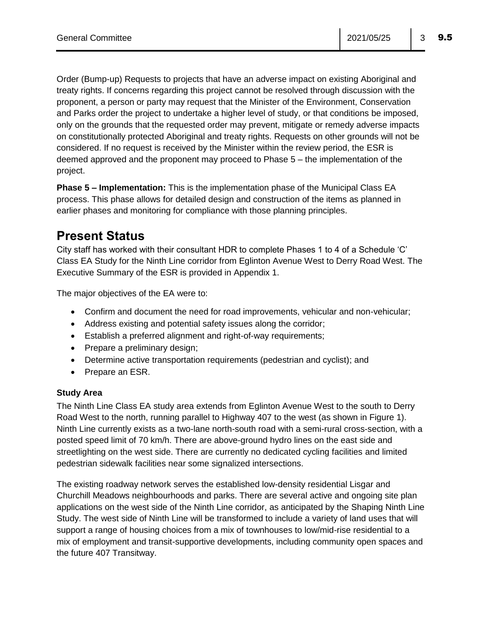Order (Bump-up) Requests to projects that have an adverse impact on existing Aboriginal and treaty rights. If concerns regarding this project cannot be resolved through discussion with the proponent, a person or party may request that the Minister of the Environment, Conservation and Parks order the project to undertake a higher level of study, or that conditions be imposed, only on the grounds that the requested order may prevent, mitigate or remedy adverse impacts on constitutionally protected Aboriginal and treaty rights. Requests on other grounds will not be considered. If no request is received by the Minister within the review period, the ESR is deemed approved and the proponent may proceed to Phase 5 – the implementation of the project.

**Phase 5 – Implementation:** This is the implementation phase of the Municipal Class EA process. This phase allows for detailed design and construction of the items as planned in earlier phases and monitoring for compliance with those planning principles.

## **Present Status**

City staff has worked with their consultant HDR to complete Phases 1 to 4 of a Schedule 'C' Class EA Study for the Ninth Line corridor from Eglinton Avenue West to Derry Road West. The Executive Summary of the ESR is provided in Appendix 1.

The major objectives of the EA were to:

- Confirm and document the need for road improvements, vehicular and non-vehicular;
- Address existing and potential safety issues along the corridor;
- Establish a preferred alignment and right-of-way requirements;
- Prepare a preliminary design;
- Determine active transportation requirements (pedestrian and cyclist); and
- Prepare an ESR.

#### **Study Area**

The Ninth Line Class EA study area extends from Eglinton Avenue West to the south to Derry Road West to the north, running parallel to Highway 407 to the west (as shown in Figure 1). Ninth Line currently exists as a two-lane north-south road with a semi-rural cross-section, with a posted speed limit of 70 km/h. There are above-ground hydro lines on the east side and streetlighting on the west side. There are currently no dedicated cycling facilities and limited pedestrian sidewalk facilities near some signalized intersections.

The existing roadway network serves the established low-density residential Lisgar and Churchill Meadows neighbourhoods and parks. There are several active and ongoing site plan applications on the west side of the Ninth Line corridor, as anticipated by the Shaping Ninth Line Study. The west side of Ninth Line will be transformed to include a variety of land uses that will support a range of housing choices from a mix of townhouses to low/mid-rise residential to a mix of employment and transit-supportive developments, including community open spaces and the future 407 Transitway.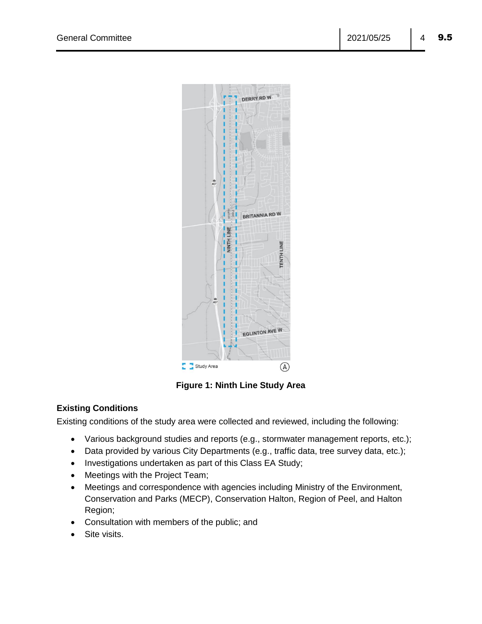

**Figure 1: Ninth Line Study Area**

#### **Existing Conditions**

Existing conditions of the study area were collected and reviewed, including the following:

- Various background studies and reports (e.g., stormwater management reports, etc.);
- Data provided by various City Departments (e.g., traffic data, tree survey data, etc.);
- Investigations undertaken as part of this Class EA Study;
- Meetings with the Project Team;
- Meetings and correspondence with agencies including Ministry of the Environment, Conservation and Parks (MECP), Conservation Halton, Region of Peel, and Halton Region;
- Consultation with members of the public; and
- Site visits.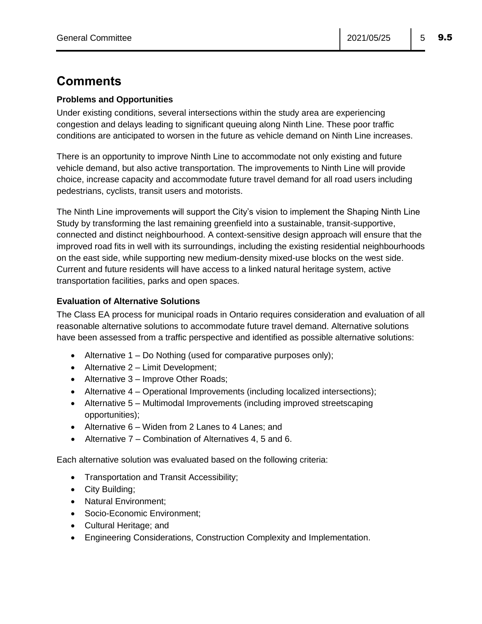## **Comments**

#### **Problems and Opportunities**

Under existing conditions, several intersections within the study area are experiencing congestion and delays leading to significant queuing along Ninth Line. These poor traffic conditions are anticipated to worsen in the future as vehicle demand on Ninth Line increases.

There is an opportunity to improve Ninth Line to accommodate not only existing and future vehicle demand, but also active transportation. The improvements to Ninth Line will provide choice, increase capacity and accommodate future travel demand for all road users including pedestrians, cyclists, transit users and motorists.

The Ninth Line improvements will support the City's vision to implement the Shaping Ninth Line Study by transforming the last remaining greenfield into a sustainable, transit-supportive, connected and distinct neighbourhood. A context-sensitive design approach will ensure that the improved road fits in well with its surroundings, including the existing residential neighbourhoods on the east side, while supporting new medium-density mixed-use blocks on the west side. Current and future residents will have access to a linked natural heritage system, active transportation facilities, parks and open spaces.

#### **Evaluation of Alternative Solutions**

The Class EA process for municipal roads in Ontario requires consideration and evaluation of all reasonable alternative solutions to accommodate future travel demand. Alternative solutions have been assessed from a traffic perspective and identified as possible alternative solutions:

- Alternative  $1 Do$  Nothing (used for comparative purposes only);
- Alternative 2 Limit Development;
- Alternative 3 Improve Other Roads;
- Alternative 4 Operational Improvements (including localized intersections);
- Alternative 5 Multimodal Improvements (including improved streetscaping opportunities);
- Alternative 6 Widen from 2 Lanes to 4 Lanes; and
- Alternative 7 Combination of Alternatives 4, 5 and 6.

Each alternative solution was evaluated based on the following criteria:

- Transportation and Transit Accessibility;
- City Building;
- Natural Environment:
- Socio-Economic Environment:
- Cultural Heritage; and
- Engineering Considerations, Construction Complexity and Implementation.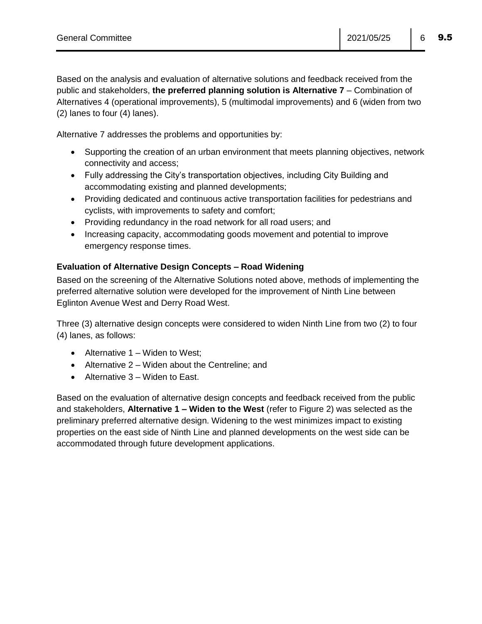Based on the analysis and evaluation of alternative solutions and feedback received from the public and stakeholders, **the preferred planning solution is Alternative 7** – Combination of Alternatives 4 (operational improvements), 5 (multimodal improvements) and 6 (widen from two (2) lanes to four (4) lanes).

Alternative 7 addresses the problems and opportunities by:

- Supporting the creation of an urban environment that meets planning objectives, network connectivity and access;
- Fully addressing the City's transportation objectives, including City Building and accommodating existing and planned developments;
- Providing dedicated and continuous active transportation facilities for pedestrians and cyclists, with improvements to safety and comfort;
- Providing redundancy in the road network for all road users; and
- Increasing capacity, accommodating goods movement and potential to improve emergency response times.

#### **Evaluation of Alternative Design Concepts – Road Widening**

Based on the screening of the Alternative Solutions noted above, methods of implementing the preferred alternative solution were developed for the improvement of Ninth Line between Eglinton Avenue West and Derry Road West.

Three (3) alternative design concepts were considered to widen Ninth Line from two (2) to four (4) lanes, as follows:

- Alternative  $1 -$  Widen to West;
- Alternative 2 Widen about the Centreline; and
- Alternative 3 Widen to East.

Based on the evaluation of alternative design concepts and feedback received from the public and stakeholders, **Alternative 1 – Widen to the West** (refer to Figure 2) was selected as the preliminary preferred alternative design. Widening to the west minimizes impact to existing properties on the east side of Ninth Line and planned developments on the west side can be accommodated through future development applications.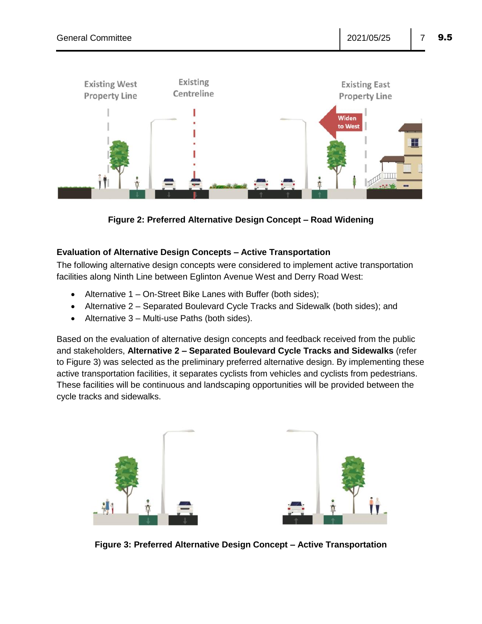

**Figure 2: Preferred Alternative Design Concept – Road Widening**

#### **Evaluation of Alternative Design Concepts – Active Transportation**

The following alternative design concepts were considered to implement active transportation facilities along Ninth Line between Eglinton Avenue West and Derry Road West:

- Alternative 1 On-Street Bike Lanes with Buffer (both sides);
- Alternative 2 Separated Boulevard Cycle Tracks and Sidewalk (both sides); and
- Alternative 3 Multi-use Paths (both sides).

Based on the evaluation of alternative design concepts and feedback received from the public and stakeholders, **Alternative 2 – Separated Boulevard Cycle Tracks and Sidewalks** (refer to Figure 3) was selected as the preliminary preferred alternative design. By implementing these active transportation facilities, it separates cyclists from vehicles and cyclists from pedestrians. These facilities will be continuous and landscaping opportunities will be provided between the cycle tracks and sidewalks.



**Figure 3: Preferred Alternative Design Concept – Active Transportation**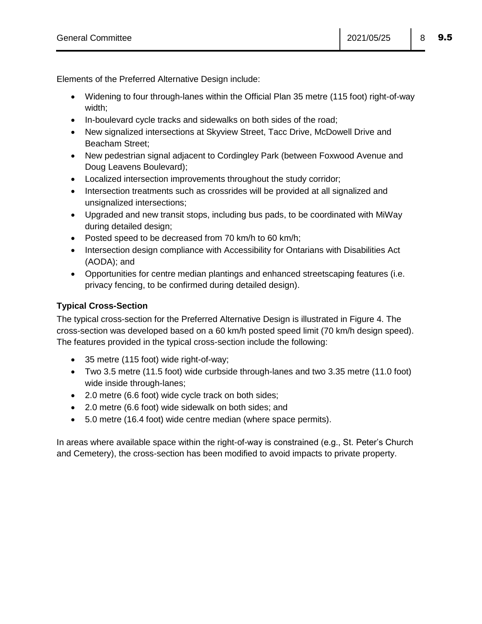Elements of the Preferred Alternative Design include:

- Widening to four through-lanes within the Official Plan 35 metre (115 foot) right-of-way width;
- In-boulevard cycle tracks and sidewalks on both sides of the road;
- New signalized intersections at Skyview Street, Tacc Drive, McDowell Drive and Beacham Street;
- New pedestrian signal adjacent to Cordingley Park (between Foxwood Avenue and Doug Leavens Boulevard);
- Localized intersection improvements throughout the study corridor;
- Intersection treatments such as crossrides will be provided at all signalized and unsignalized intersections;
- Upgraded and new transit stops, including bus pads, to be coordinated with MiWay during detailed design;
- Posted speed to be decreased from 70 km/h to 60 km/h;
- Intersection design compliance with Accessibility for Ontarians with Disabilities Act (AODA); and
- Opportunities for centre median plantings and enhanced streetscaping features (i.e. privacy fencing, to be confirmed during detailed design).

### **Typical Cross-Section**

The typical cross-section for the Preferred Alternative Design is illustrated in Figure 4. The cross-section was developed based on a 60 km/h posted speed limit (70 km/h design speed). The features provided in the typical cross-section include the following:

- 35 metre (115 foot) wide right-of-way;
- Two 3.5 metre (11.5 foot) wide curbside through-lanes and two 3.35 metre (11.0 foot) wide inside through-lanes;
- 2.0 metre (6.6 foot) wide cycle track on both sides;
- 2.0 metre (6.6 foot) wide sidewalk on both sides; and
- 5.0 metre (16.4 foot) wide centre median (where space permits).

In areas where available space within the right-of-way is constrained (e.g., St. Peter's Church and Cemetery), the cross-section has been modified to avoid impacts to private property.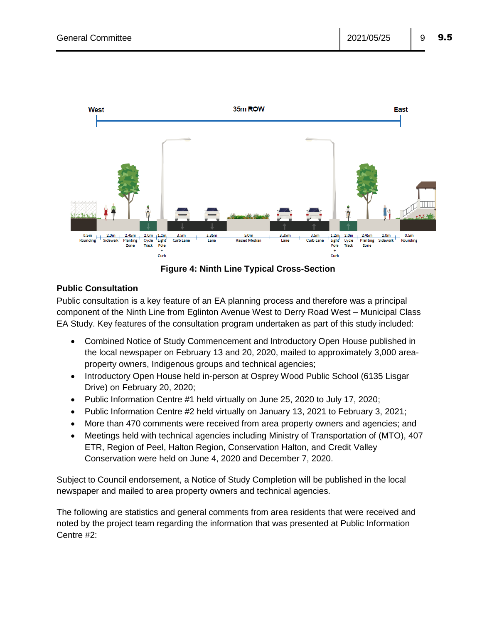

**Figure 4: Ninth Line Typical Cross-Section**

#### **Public Consultation**

Public consultation is a key feature of an EA planning process and therefore was a principal component of the Ninth Line from Eglinton Avenue West to Derry Road West – Municipal Class EA Study. Key features of the consultation program undertaken as part of this study included:

- Combined Notice of Study Commencement and Introductory Open House published in the local newspaper on February 13 and 20, 2020, mailed to approximately 3,000 areaproperty owners, Indigenous groups and technical agencies;
- Introductory Open House held in-person at Osprey Wood Public School (6135 Lisgar Drive) on February 20, 2020;
- Public Information Centre #1 held virtually on June 25, 2020 to July 17, 2020;
- Public Information Centre #2 held virtually on January 13, 2021 to February 3, 2021;
- More than 470 comments were received from area property owners and agencies; and
- Meetings held with technical agencies including Ministry of Transportation of (MTO), 407 ETR, Region of Peel, Halton Region, Conservation Halton, and Credit Valley Conservation were held on June 4, 2020 and December 7, 2020.

Subject to Council endorsement, a Notice of Study Completion will be published in the local newspaper and mailed to area property owners and technical agencies.

The following are statistics and general comments from area residents that were received and noted by the project team regarding the information that was presented at Public Information Centre #2: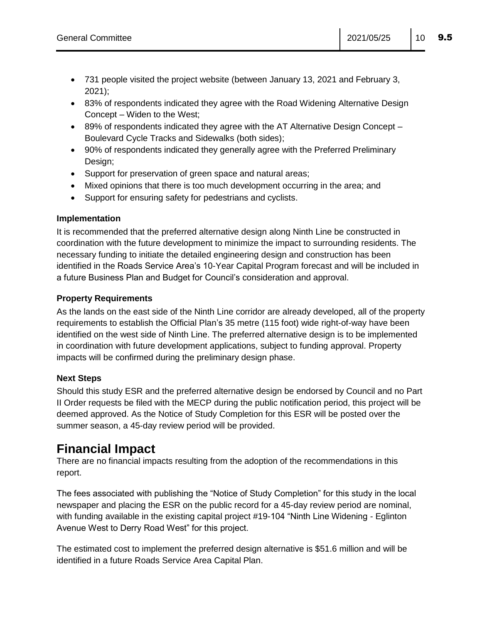- 731 people visited the project website (between January 13, 2021 and February 3, 2021);
- 83% of respondents indicated they agree with the Road Widening Alternative Design Concept – Widen to the West;
- 89% of respondents indicated they agree with the AT Alternative Design Concept Boulevard Cycle Tracks and Sidewalks (both sides);
- 90% of respondents indicated they generally agree with the Preferred Preliminary Design;
- Support for preservation of green space and natural areas;
- Mixed opinions that there is too much development occurring in the area; and
- Support for ensuring safety for pedestrians and cyclists.

#### **Implementation**

It is recommended that the preferred alternative design along Ninth Line be constructed in coordination with the future development to minimize the impact to surrounding residents. The necessary funding to initiate the detailed engineering design and construction has been identified in the Roads Service Area's 10-Year Capital Program forecast and will be included in a future Business Plan and Budget for Council's consideration and approval.

#### **Property Requirements**

As the lands on the east side of the Ninth Line corridor are already developed, all of the property requirements to establish the Official Plan's 35 metre (115 foot) wide right-of-way have been identified on the west side of Ninth Line. The preferred alternative design is to be implemented in coordination with future development applications, subject to funding approval. Property impacts will be confirmed during the preliminary design phase.

#### **Next Steps**

Should this study ESR and the preferred alternative design be endorsed by Council and no Part II Order requests be filed with the MECP during the public notification period, this project will be deemed approved. As the Notice of Study Completion for this ESR will be posted over the summer season, a 45-day review period will be provided.

## **Financial Impact**

There are no financial impacts resulting from the adoption of the recommendations in this report.

The fees associated with publishing the "Notice of Study Completion" for this study in the local newspaper and placing the ESR on the public record for a 45-day review period are nominal, with funding available in the existing capital project #19-104 "Ninth Line Widening - Eglinton Avenue West to Derry Road West" for this project.

The estimated cost to implement the preferred design alternative is \$51.6 million and will be identified in a future Roads Service Area Capital Plan.